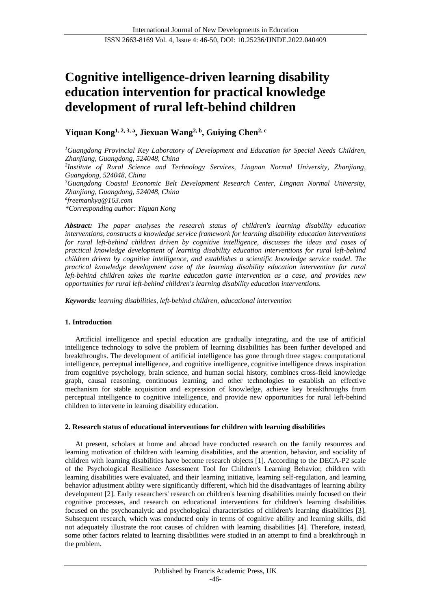# **Cognitive intelligence-driven learning disability education intervention for practical knowledge development of rural left-behind children**

**Yiquan Kong1, 2, 3, a , Jiexuan Wang2, b , Guiying Chen2, c**

*<sup>1</sup>Guangdong Provincial Key Laboratory of Development and Education for Special Needs Children, Zhanjiang, Guangdong, 524048, China 2 Institute of Rural Science and Technology Services, Lingnan Normal University, Zhanjiang, Guangdong, 524048, China <sup>3</sup>Guangdong Coastal Economic Belt Development Research Center, Lingnan Normal University, Zhanjiang, Guangdong, 524048, China a freemankyq@163.com \*Corresponding author: Yiquan Kong*

*Abstract: The paper analyses the research status of children's learning disability education interventions, constructs a knowledge service framework for learning disability education interventions for rural left-behind children driven by cognitive intelligence, discusses the ideas and cases of practical knowledge development of learning disability education interventions for rural left-behind children driven by cognitive intelligence, and establishes a scientific knowledge service model. The practical knowledge development case of the learning disability education intervention for rural left-behind children takes the marine education game intervention as a case, and provides new opportunities for rural left-behind children's learning disability education interventions.*

*Keywords: learning disabilities, left-behind children, educational intervention*

# **1. Introduction**

Artificial intelligence and special education are gradually integrating, and the use of artificial intelligence technology to solve the problem of learning disabilities has been further developed and breakthroughs. The development of artificial intelligence has gone through three stages: computational intelligence, perceptual intelligence, and cognitive intelligence, cognitive intelligence draws inspiration from cognitive psychology, brain science, and human social history, combines cross-field knowledge graph, causal reasoning, continuous learning, and other technologies to establish an effective mechanism for stable acquisition and expression of knowledge, achieve key breakthroughs from perceptual intelligence to cognitive intelligence, and provide new opportunities for rural left-behind children to intervene in learning disability education.

# **2. Research status of educational interventions for children with learning disabilities**

At present, scholars at home and abroad have conducted research on the family resources and learning motivation of children with learning disabilities, and the attention, behavior, and sociality of children with learning disabilities have become research objects [1]. According to the DECA-P2 scale of the Psychological Resilience Assessment Tool for Children's Learning Behavior, children with learning disabilities were evaluated, and their learning initiative, learning self-regulation, and learning behavior adjustment ability were significantly different, which hid the disadvantages of learning ability development [2]. Early researchers' research on children's learning disabilities mainly focused on their cognitive processes, and research on educational interventions for children's learning disabilities focused on the psychoanalytic and psychological characteristics of children's learning disabilities [3]. Subsequent research, which was conducted only in terms of cognitive ability and learning skills, did not adequately illustrate the root causes of children with learning disabilities [4]. Therefore, instead, some other factors related to learning disabilities were studied in an attempt to find a breakthrough in the problem.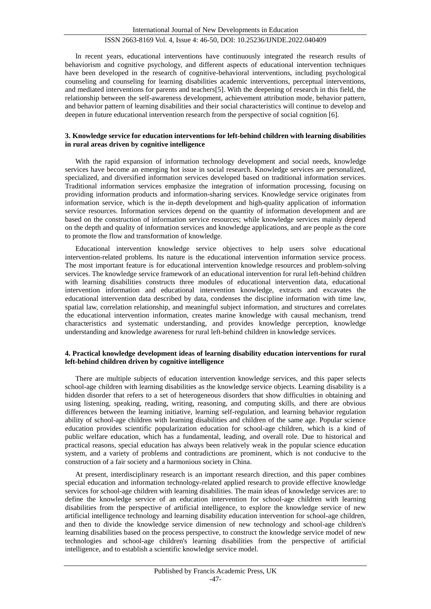In recent years, educational interventions have continuously integrated the research results of behaviorism and cognitive psychology, and different aspects of educational intervention techniques have been developed in the research of cognitive-behavioral interventions, including psychological counseling and counseling for learning disabilities academic interventions, perceptual interventions, and mediated interventions for parents and teachers[5]. With the deepening of research in this field, the relationship between the self-awareness development, achievement attribution mode, behavior pattern, and behavior pattern of learning disabilities and their social characteristics will continue to develop and deepen in future educational intervention research from the perspective of social cognition [6].

#### **3. Knowledge service for education interventions for left-behind children with learning disabilities in rural areas driven by cognitive intelligence**

With the rapid expansion of information technology development and social needs, knowledge services have become an emerging hot issue in social research. Knowledge services are personalized, specialized, and diversified information services developed based on traditional information services. Traditional information services emphasize the integration of information processing, focusing on providing information products and information-sharing services. Knowledge service originates from information service, which is the in-depth development and high-quality application of information service resources. Information services depend on the quantity of information development and are based on the construction of information service resources; while knowledge services mainly depend on the depth and quality of information services and knowledge applications, and are people as the core to promote the flow and transformation of knowledge.

Educational intervention knowledge service objectives to help users solve educational intervention-related problems. Its nature is the educational intervention information service process. The most important feature is for educational intervention knowledge resources and problem-solving services. The knowledge service framework of an educational intervention for rural left-behind children with learning disabilities constructs three modules of educational intervention data, educational intervention information and educational intervention knowledge, extracts and excavates the educational intervention data described by data, condenses the discipline information with time law, spatial law, correlation relationship, and meaningful subject information, and structures and correlates the educational intervention information, creates marine knowledge with causal mechanism, trend characteristics and systematic understanding, and provides knowledge perception, knowledge understanding and knowledge awareness for rural left-behind children in knowledge services.

### **4. Practical knowledge development ideas of learning disability education interventions for rural left-behind children driven by cognitive intelligence**

There are multiple subjects of education intervention knowledge services, and this paper selects school-age children with learning disabilities as the knowledge service objects. Learning disability is a hidden disorder that refers to a set of heterogeneous disorders that show difficulties in obtaining and using listening, speaking, reading, writing, reasoning, and computing skills, and there are obvious differences between the learning initiative, learning self-regulation, and learning behavior regulation ability of school-age children with learning disabilities and children of the same age. Popular science education provides scientific popularization education for school-age children, which is a kind of public welfare education, which has a fundamental, leading, and overall role. Due to historical and practical reasons, special education has always been relatively weak in the popular science education system, and a variety of problems and contradictions are prominent, which is not conducive to the construction of a fair society and a harmonious society in China.

At present, interdisciplinary research is an important research direction, and this paper combines special education and information technology-related applied research to provide effective knowledge services for school-age children with learning disabilities. The main ideas of knowledge services are: to define the knowledge service of an education intervention for school-age children with learning disabilities from the perspective of artificial intelligence, to explore the knowledge service of new artificial intelligence technology and learning disability education intervention for school-age children, and then to divide the knowledge service dimension of new technology and school-age children's learning disabilities based on the process perspective, to construct the knowledge service model of new technologies and school-age children's learning disabilities from the perspective of artificial intelligence, and to establish a scientific knowledge service model.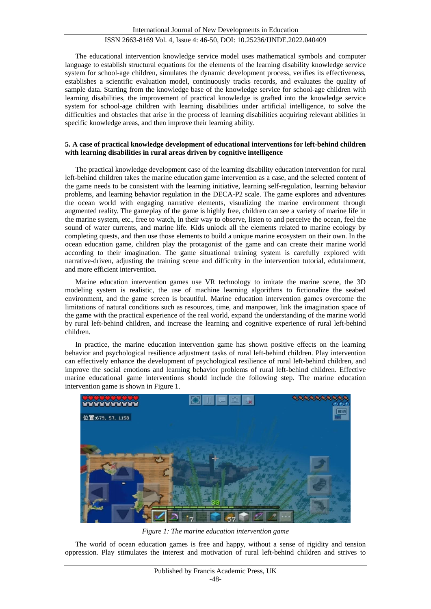The educational intervention knowledge service model uses mathematical symbols and computer language to establish structural equations for the elements of the learning disability knowledge service system for school-age children, simulates the dynamic development process, verifies its effectiveness, establishes a scientific evaluation model, continuously tracks records, and evaluates the quality of sample data. Starting from the knowledge base of the knowledge service for school-age children with learning disabilities, the improvement of practical knowledge is grafted into the knowledge service system for school-age children with learning disabilities under artificial intelligence, to solve the difficulties and obstacles that arise in the process of learning disabilities acquiring relevant abilities in specific knowledge areas, and then improve their learning ability.

### **5. A case of practical knowledge development of educational interventions for left-behind children with learning disabilities in rural areas driven by cognitive intelligence**

The practical knowledge development case of the learning disability education intervention for rural left-behind children takes the marine education game intervention as a case, and the selected content of the game needs to be consistent with the learning initiative, learning self-regulation, learning behavior problems, and learning behavior regulation in the DECA-P2 scale. The game explores and adventures the ocean world with engaging narrative elements, visualizing the marine environment through augmented reality. The gameplay of the game is highly free, children can see a variety of marine life in the marine system, etc., free to watch, in their way to observe, listen to and perceive the ocean, feel the sound of water currents, and marine life. Kids unlock all the elements related to marine ecology by completing quests, and then use those elements to build a unique marine ecosystem on their own. In the ocean education game, children play the protagonist of the game and can create their marine world according to their imagination. The game situational training system is carefully explored with narrative-driven, adjusting the training scene and difficulty in the intervention tutorial, edutainment, and more efficient intervention.

Marine education intervention games use VR technology to imitate the marine scene, the 3D modeling system is realistic, the use of machine learning algorithms to fictionalize the seabed environment, and the game screen is beautiful. Marine education intervention games overcome the limitations of natural conditions such as resources, time, and manpower, link the imagination space of the game with the practical experience of the real world, expand the understanding of the marine world by rural left-behind children, and increase the learning and cognitive experience of rural left-behind children.

In practice, the marine education intervention game has shown positive effects on the learning behavior and psychological resilience adjustment tasks of rural left-behind children. Play intervention can effectively enhance the development of psychological resilience of rural left-behind children, and improve the social emotions and learning behavior problems of rural left-behind children. Effective marine educational game interventions should include the following step. The marine education intervention game is shown in Figure 1.



*Figure 1: The marine education intervention game*

The world of ocean education games is free and happy, without a sense of rigidity and tension oppression. Play stimulates the interest and motivation of rural left-behind children and strives to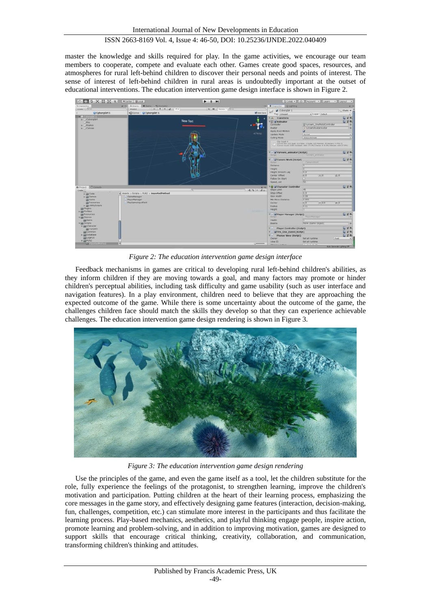master the knowledge and skills required for play. In the game activities, we encourage our team members to cooperate, compete and evaluate each other. Games create good spaces, resources, and atmospheres for rural left-behind children to discover their personal needs and points of interest. The sense of interest of left-behind children in rural areas is undoubtedly important at the outset of educational interventions. The education intervention game design interface is shown in Figure 2.



*Figure 2: The education intervention game design interface*

Feedback mechanisms in games are critical to developing rural left-behind children's abilities, as they inform children if they are moving towards a goal, and many factors may promote or hinder children's perceptual abilities, including task difficulty and game usability (such as user interface and navigation features). In a play environment, children need to believe that they are approaching the expected outcome of the game. While there is some uncertainty about the outcome of the game, the challenges children face should match the skills they develop so that they can experience achievable challenges. The education intervention game design rendering is shown in Figure 3.



*Figure 3: The education intervention game design rendering*

Use the principles of the game, and even the game itself as a tool, let the children substitute for the role, fully experience the feelings of the protagonist, to strengthen learning, improve the children's motivation and participation. Putting children at the heart of their learning process, emphasizing the core messages in the game story, and effectively designing game features (interaction, decision-making, fun, challenges, competition, etc.) can stimulate more interest in the participants and thus facilitate the learning process. Play-based mechanics, aesthetics, and playful thinking engage people, inspire action, promote learning and problem-solving, and in addition to improving motivation, games are designed to support skills that encourage critical thinking, creativity, collaboration, and communication, transforming children's thinking and attitudes.